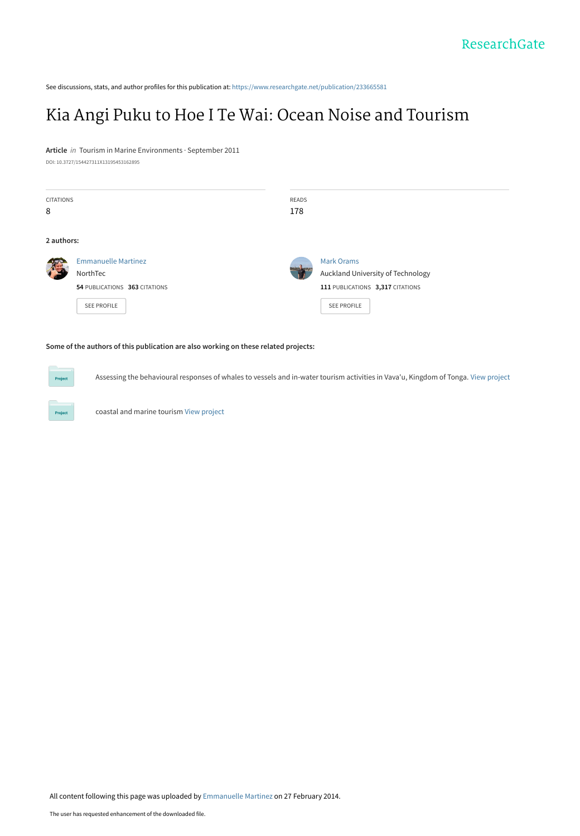See discussions, stats, and author profiles for this publication at: [https://www.researchgate.net/publication/233665581](https://www.researchgate.net/publication/233665581_Kia_Angi_Puku_to_Hoe_I_Te_Wai_Ocean_Noise_and_Tourism?enrichId=rgreq-2e8dcebef9e4a0ecb23b43ae634b5c6a-XXX&enrichSource=Y292ZXJQYWdlOzIzMzY2NTU4MTtBUzoxMDIwNjgxNDQ1NzQ0NzJAMTQwMTM0NjM1MDQzNg%3D%3D&el=1_x_2&_esc=publicationCoverPdf)

# [Kia Angi Puku to Hoe I Te Wai: Ocean Noise and Tourism](https://www.researchgate.net/publication/233665581_Kia_Angi_Puku_to_Hoe_I_Te_Wai_Ocean_Noise_and_Tourism?enrichId=rgreq-2e8dcebef9e4a0ecb23b43ae634b5c6a-XXX&enrichSource=Y292ZXJQYWdlOzIzMzY2NTU4MTtBUzoxMDIwNjgxNDQ1NzQ0NzJAMTQwMTM0NjM1MDQzNg%3D%3D&el=1_x_3&_esc=publicationCoverPdf)

#### **Article** in Tourism in Marine Environments · September 2011

DOI: 10.3727/154427311X13195453162895

| <b>CITATIONS</b><br>8 |                                                                                               | READS<br>178 |                                                                                                                  |
|-----------------------|-----------------------------------------------------------------------------------------------|--------------|------------------------------------------------------------------------------------------------------------------|
| 2 authors:            |                                                                                               |              |                                                                                                                  |
|                       | <b>Emmanuelle Martinez</b><br>NorthTec<br>54 PUBLICATIONS 363 CITATIONS<br><b>SEE PROFILE</b> |              | <b>Mark Orams</b><br>Auckland University of Technology<br>111 PUBLICATIONS 3,317 CITATIONS<br><b>SEE PROFILE</b> |

#### **Some of the authors of this publication are also working on these related projects:**

Assessing the behavioural responses of whales to vessels and in-water tourism activities in Vava'u, Kingdom of Tonga. [View project](https://www.researchgate.net/project/Assessing-the-behavioural-responses-of-whales-to-vessels-and-in-water-tourism-activities-in-Vavau-Kingdom-of-Tonga?enrichId=rgreq-2e8dcebef9e4a0ecb23b43ae634b5c6a-XXX&enrichSource=Y292ZXJQYWdlOzIzMzY2NTU4MTtBUzoxMDIwNjgxNDQ1NzQ0NzJAMTQwMTM0NjM1MDQzNg%3D%3D&el=1_x_9&_esc=publicationCoverPdf)



**Project** 

coastal and marine tourism [View project](https://www.researchgate.net/project/coastal-and-marine-tourism?enrichId=rgreq-2e8dcebef9e4a0ecb23b43ae634b5c6a-XXX&enrichSource=Y292ZXJQYWdlOzIzMzY2NTU4MTtBUzoxMDIwNjgxNDQ1NzQ0NzJAMTQwMTM0NjM1MDQzNg%3D%3D&el=1_x_9&_esc=publicationCoverPdf)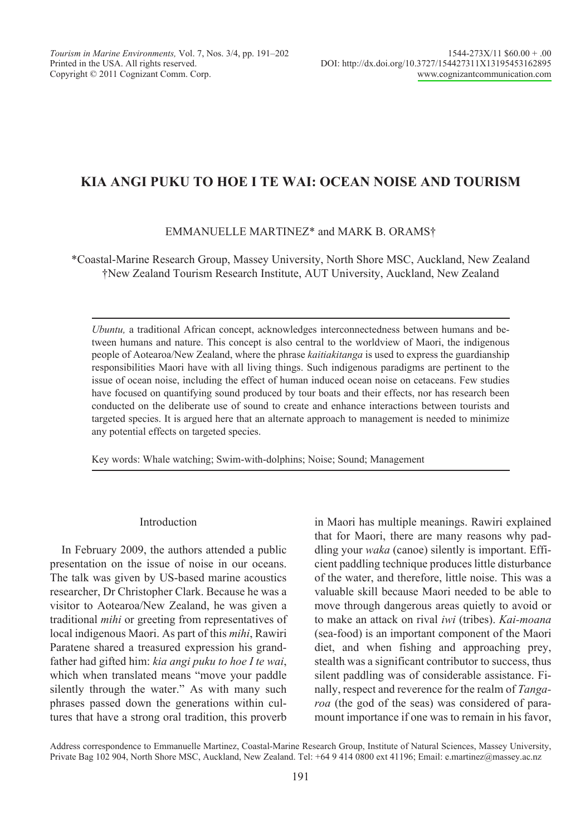# KIA ANGI PUKU TO HOE I TE WAI: OCEAN NOISE AND TOURISM

# EMMANUELLE MARTINEZ\* and MARK B. ORAMS†

\*Coastal-Marine Research Group, Massey University, North Shore MSC, Auckland, New Zealand †New Zealand Tourism Research Institute, AUT University, Auckland, New Zealand

Ubuntu, a traditional African concept, acknowledges interconnectedness between humans and between humans and nature. This concept is also central to the worldview of Maori, the indigenous people of Aotearoa/New Zealand, where the phrase kaitiakitanga is used to express the guardianship responsibilities Maori have with all living things. Such indigenous paradigms are pertinent to the issue of ocean noise, including the effect of human induced ocean noise on cetaceans. Few studies have focused on quantifying sound produced by tour boats and their effects, nor has research been conducted on the deliberate use of sound to create and enhance interactions between tourists and targeted species. It is argued here that an alternate approach to management is needed to minimize any potential effects on targeted species.

Key words: Whale watching; Swim-with-dolphins; Noise; Sound; Management

### Introduction

In February 2009, the authors attended a public presentation on the issue of noise in our oceans. The talk was given by US-based marine acoustics researcher, Dr Christopher Clark. Because he was a visitor to Aotearoa/New Zealand, he was given a traditional *mihi* or greeting from representatives of local indigenous Maori. As part of this *mihi*, Rawiri Paratene shared a treasured expression his grandfather had gifted him: kia angi puku to hoe I te wai, which when translated means "move your paddle silently through the water." As with many such phrases passed down the generations within cultures that have a strong oral tradition, this proverb

in Maori has multiple meanings. Rawiri explained that for Maori, there are many reasons why paddling your *waka* (canoe) silently is important. Efficient paddling technique produces little disturbance of the water, and therefore, little noise. This was a valuable skill because Maori needed to be able to move through dangerous areas quietly to avoid or to make an attack on rival iwi (tribes). Kai-moana (sea-food) is an important component of the Maori diet, and when fishing and approaching prey, stealth was a significant contributor to success, thus silent paddling was of considerable assistance. Finally, respect and reverence for the realm of Tangaroa (the god of the seas) was considered of paramount importance if one was to remain in his favor,

Address correspondence to Emmanuelle Martinez, Coastal-Marine Research Group, Institute of Natural Sciences, Massey University, Private Bag 102 904, North Shore MSC, Auckland, New Zealand. Tel: +64 9 414 0800 ext 41196; Email: e.martinez@massey.ac.nz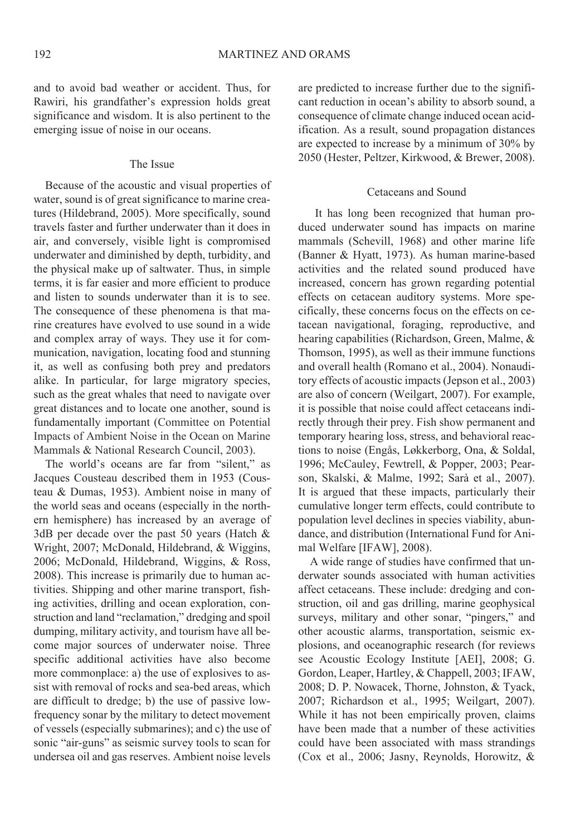and to avoid bad weather or accident. Thus, for Rawiri, his grandfather's expression holds great significance and wisdom. It is also pertinent to the emerging issue of noise in our oceans.

#### The Issue

Because of the acoustic and visual properties of water, sound is of great significance to marine creatures (Hildebrand, 2005). More specifically, sound travels faster and further underwater than it does in air, and conversely, visible light is compromised underwater and diminished by depth, turbidity, and the physical make up of saltwater. Thus, in simple terms, it is far easier and more efficient to produce and listen to sounds underwater than it is to see. The consequence of these phenomena is that marine creatures have evolved to use sound in a wide and complex array of ways. They use it for communication, navigation, locating food and stunning it, as well as confusing both prey and predators alike. In particular, for large migratory species, such as the great whales that need to navigate over great distances and to locate one another, sound is fundamentally important (Committee on Potential Impacts of Ambient Noise in the Ocean on Marine Mammals & National Research Council, 2003).

The world's oceans are far from "silent." as Jacques Cousteau described them in 1953 (Cousteau & Dumas, 1953). Ambient noise in many of the world seas and oceans (especially in the northern hemisphere) has increased by an average of 3dB per decade over the past 50 years (Hatch & Wright, 2007; McDonald, Hildebrand, & Wiggins, 2006; McDonald, Hildebrand, Wiggins, & Ross, 2008). This increase is primarily due to human activities. Shipping and other marine transport, fishing activities, drilling and ocean exploration, construction and land "reclamation," dredging and spoil dumping, military activity, and tourism have all become major sources of underwater noise. Three specific additional activities have also become more commonplace: a) the use of explosives to assist with removal of rocks and sea-bed areas, which are difficult to dredge; b) the use of passive lowfrequency sonar by the military to detect movement of vessels (especially submarines); and c) the use of sonic "air-guns" as seismic survey tools to scan for undersea oil and gas reserves. Ambient noise levels

are predicted to increase further due to the significant reduction in ocean's ability to absorb sound, a consequence of climate change induced ocean acidification. As a result, sound propagation distances are expected to increase by a minimum of 30% by 2050 (Hester, Peltzer, Kirkwood, & Brewer, 2008).

## Cetaceans and Sound

It has long been recognized that human produced underwater sound has impacts on marine mammals (Schevill, 1968) and other marine life (Banner & Hyatt, 1973). As human marine-based activities and the related sound produced have increased, concern has grown regarding potential effects on cetacean auditory systems. More specifically, these concerns focus on the effects on cetacean navigational, foraging, reproductive, and hearing capabilities (Richardson, Green, Malme, & Thomson, 1995), as well as their immune functions and overall health (Romano et al., 2004). Nonauditory effects of acoustic impacts (Jepson et al., 2003) are also of concern (Weilgart, 2007). For example, it is possible that noise could affect cetaceans indirectly through their prey. Fish show permanent and temporary hearing loss, stress, and behavioral reactions to noise (Engås, Løkkerborg, Ona, & Soldal, 1996; McCauley, Fewtrell, & Popper, 2003; Pearson, Skalski, & Malme, 1992; Sarà et al., 2007). It is argued that these impacts, particularly their cumulative longer term effects, could contribute to population level declines in species viability, abundance, and distribution (International Fund for Animal Welfare [IFAW], 2008).

A wide range of studies have confirmed that underwater sounds associated with human activities affect cetaceans. These include: dredging and construction, oil and gas drilling, marine geophysical surveys, military and other sonar, "pingers," and other acoustic alarms, transportation, seismic explosions, and oceanographic research (for reviews see Acoustic Ecology Institute [AEI], 2008; G. Gordon, Leaper, Hartley, & Chappell, 2003; IFAW, 2008; D. P. Nowacek, Thorne, Johnston, & Tyack, 2007; Richardson et al., 1995; Weilgart, 2007). While it has not been empirically proven, claims have been made that a number of these activities could have been associated with mass strandings (Cox et al., 2006; Jasny, Reynolds, Horowitz, &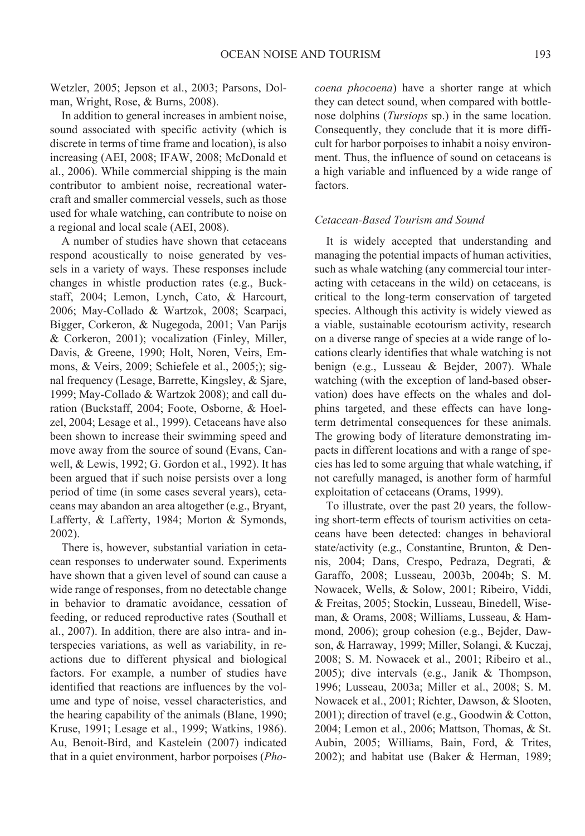Wetzler, 2005; Jepson et al., 2003; Parsons, Dolman, Wright, Rose, & Burns, 2008).

In addition to general increases in ambient noise, sound associated with specific activity (which is discrete in terms of time frame and location), is also increasing (AEI, 2008; IFAW, 2008; McDonald et al., 2006). While commercial shipping is the main contributor to ambient noise, recreational watercraft and smaller commercial vessels, such as those used for whale watching, can contribute to noise on a regional and local scale (AEI, 2008).

A number of studies have shown that cetaceans respond acoustically to noise generated by vessels in a variety of ways. These responses include changes in whistle production rates (e.g., Buckstaff, 2004; Lemon, Lynch, Cato, & Harcourt, 2006; May-Collado & Wartzok, 2008; Scarpaci, Bigger, Corkeron, & Nugegoda, 2001; Van Parijs & Corkeron, 2001); vocalization (Finley, Miller, Davis, & Greene, 1990; Holt, Noren, Veirs, Emmons, & Veirs, 2009; Schiefele et al., 2005;); signal frequency (Lesage, Barrette, Kingsley, & Sjare, 1999; May-Collado & Wartzok 2008); and call duration (Buckstaff, 2004; Foote, Osborne, & Hoelzel, 2004; Lesage et al., 1999). Cetaceans have also been shown to increase their swimming speed and move away from the source of sound (Evans, Canwell, & Lewis, 1992; G. Gordon et al., 1992). It has been argued that if such noise persists over a long period of time (in some cases several years), cetaceans may abandon an area altogether (e.g., Bryant, Lafferty, & Lafferty, 1984; Morton & Symonds,  $2002$ ).

There is, however, substantial variation in cetacean responses to underwater sound. Experiments have shown that a given level of sound can cause a wide range of responses, from no detectable change in behavior to dramatic avoidance, cessation of feeding, or reduced reproductive rates (Southall et al., 2007). In addition, there are also intra- and interspecies variations, as well as variability, in reactions due to different physical and biological factors. For example, a number of studies have identified that reactions are influences by the volume and type of noise, vessel characteristics, and the hearing capability of the animals (Blane, 1990; Kruse, 1991; Lesage et al., 1999; Watkins, 1986). Au, Benoit-Bird, and Kastelein (2007) indicated that in a quiet environment, harbor porpoises (*Pho-* coena phocoena) have a shorter range at which they can detect sound, when compared with bottlenose dolphins (*Tursiops* sp.) in the same location. Consequently, they conclude that it is more difficult for harbor porpoises to inhabit a noisy environment. Thus, the influence of sound on cetaceans is a high variable and influenced by a wide range of factors.

### Cetacean-Based Tourism and Sound

It is widely accepted that understanding and managing the potential impacts of human activities, such as whale watching (any commercial tour interacting with cetaceans in the wild) on cetaceans, is critical to the long-term conservation of targeted species. Although this activity is widely viewed as a viable, sustainable ecotourism activity, research on a diverse range of species at a wide range of locations clearly identifies that whale watching is not benign (e.g., Lusseau & Bejder, 2007). Whale watching (with the exception of land-based observation) does have effects on the whales and dolphins targeted, and these effects can have longterm detrimental consequences for these animals. The growing body of literature demonstrating impacts in different locations and with a range of species has led to some arguing that whale watching, if not carefully managed, is another form of harmful exploitation of cetaceans (Orams, 1999).

To illustrate, over the past 20 years, the following short-term effects of tourism activities on cetaceans have been detected: changes in behavioral state/activity (e.g., Constantine, Brunton, & Dennis, 2004; Dans, Crespo, Pedraza, Degrati, & Garaffo, 2008; Lusseau, 2003b, 2004b; S. M. Nowacek, Wells, & Solow, 2001; Ribeiro, Viddi, & Freitas, 2005; Stockin, Lusseau, Binedell, Wiseman, & Orams, 2008; Williams, Lusseau, & Hammond, 2006); group cohesion (e.g., Bejder, Dawson, & Harraway, 1999; Miller, Solangi, & Kuczaj, 2008; S. M. Nowacek et al., 2001; Ribeiro et al.,  $2005$ ; dive intervals (e.g., Janik & Thompson, 1996; Lusseau, 2003a; Miller et al., 2008; S. M. Nowacek et al., 2001; Richter, Dawson, & Slooten, 2001); direction of travel (e.g., Goodwin & Cotton, 2004; Lemon et al., 2006; Mattson, Thomas, & St. Aubin, 2005; Williams, Bain, Ford, & Trites, 2002); and habitat use (Baker & Herman, 1989;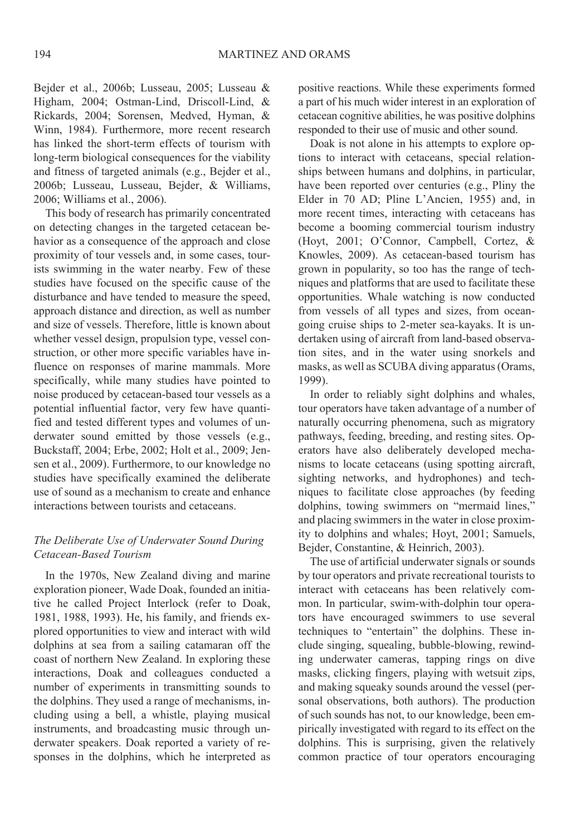Bejder et al., 2006b; Lusseau, 2005; Lusseau & Higham, 2004; Ostman-Lind, Driscoll-Lind, & Rickards, 2004; Sorensen, Medved, Hyman, & Winn, 1984). Furthermore, more recent research has linked the short-term effects of tourism with long-term biological consequences for the viability and fitness of targeted animals (e.g., Bejder et al., 2006b; Lusseau, Lusseau, Bejder, & Williams, 2006; Williams et al., 2006).

This body of research has primarily concentrated on detecting changes in the targeted cetacean behavior as a consequence of the approach and close proximity of tour vessels and, in some cases, tourists swimming in the water nearby. Few of these studies have focused on the specific cause of the disturbance and have tended to measure the speed, approach distance and direction, as well as number and size of vessels. Therefore, little is known about whether vessel design, propulsion type, vessel construction, or other more specific variables have influence on responses of marine mammals. More specifically, while many studies have pointed to noise produced by cetacean-based tour vessels as a potential influential factor, very few have quantified and tested different types and volumes of underwater sound emitted by those vessels (e.g., Buckstaff, 2004; Erbe, 2002; Holt et al., 2009; Jensen et al., 2009). Furthermore, to our knowledge no studies have specifically examined the deliberate use of sound as a mechanism to create and enhance interactions between tourists and cetaceans

# The Deliberate Use of Underwater Sound During Cetacean-Based Tourism

In the 1970s, New Zealand diving and marine exploration pioneer, Wade Doak, founded an initiative he called Project Interlock (refer to Doak, 1981, 1988, 1993). He, his family, and friends explored opportunities to view and interact with wild dolphins at sea from a sailing catamaran off the coast of northern New Zealand. In exploring these interactions, Doak and colleagues conducted a number of experiments in transmitting sounds to the dolphins. They used a range of mechanisms, including using a bell, a whistle, playing musical instruments, and broadcasting music through underwater speakers. Doak reported a variety of responses in the dolphins, which he interpreted as positive reactions. While these experiments formed a part of his much wider interest in an exploration of cetacean cognitive abilities, he was positive dolphins responded to their use of music and other sound.

Doak is not alone in his attempts to explore options to interact with cetaceans, special relationships between humans and dolphins, in particular, have been reported over centuries (e.g., Pliny the Elder in 70 AD: Pline L'Ancien, 1955) and, in more recent times, interacting with cetaceans has become a booming commercial tourism industry (Hoyt, 2001; O'Connor, Campbell, Cortez, & Knowles, 2009). As cetacean-based tourism has grown in popularity, so too has the range of techniques and platforms that are used to facilitate these opportunities. Whale watching is now conducted from vessels of all types and sizes, from oceangoing cruise ships to 2-meter sea-kayaks. It is undertaken using of aircraft from land-based observation sites, and in the water using snorkels and masks, as well as SCUBA diving apparatus (Orams, 1999).

In order to reliably sight dolphins and whales, tour operators have taken advantage of a number of naturally occurring phenomena, such as migratory pathways, feeding, breeding, and resting sites. Operators have also deliberately developed mechanisms to locate cetaceans (using spotting aircraft, sighting networks, and hydrophones) and techniques to facilitate close approaches (by feeding dolphins, towing swimmers on "mermaid lines," and placing swimmers in the water in close proximity to dolphins and whales; Hoyt, 2001; Samuels, Bejder, Constantine, & Heinrich, 2003).

The use of artificial underwater signals or sounds by tour operators and private recreational tourists to interact with cetaceans has been relatively common. In particular, swim-with-dolphin tour operators have encouraged swimmers to use several techniques to "entertain" the dolphins. These include singing, squealing, bubble-blowing, rewinding underwater cameras, tapping rings on dive masks, clicking fingers, playing with wetsuit zips, and making squeaky sounds around the vessel (personal observations, both authors). The production of such sounds has not, to our knowledge, been empirically investigated with regard to its effect on the dolphins. This is surprising, given the relatively common practice of tour operators encouraging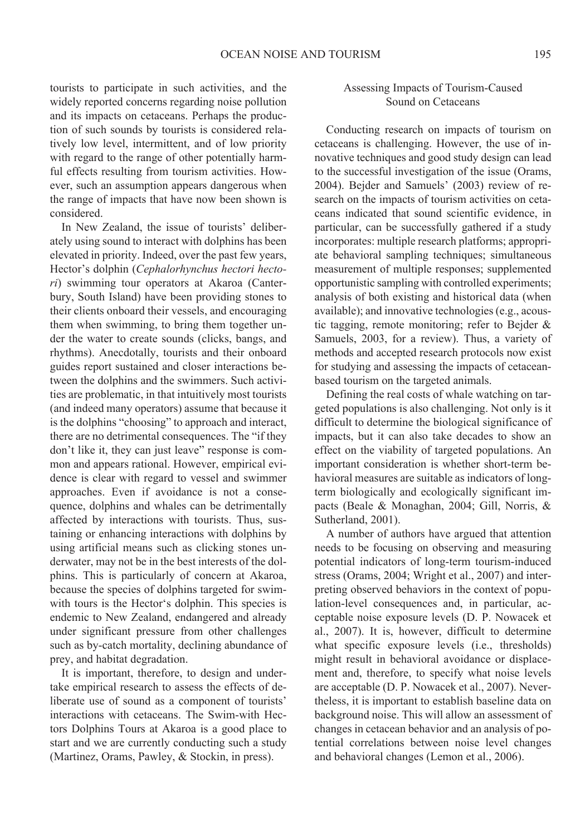tourists to participate in such activities, and the widely reported concerns regarding noise pollution and its impacts on cetaceans. Perhaps the production of such sounds by tourists is considered relatively low level, intermittent, and of low priority with regard to the range of other potentially harmful effects resulting from tourism activities. However, such an assumption appears dangerous when the range of impacts that have now been shown is considered

In New Zealand, the issue of tourists' deliberately using sound to interact with dolphins has been elevated in priority. Indeed, over the past few years, Hector's dolphin (Cephalorhynchus hectori hectori) swimming tour operators at Akaroa (Canterbury, South Island) have been providing stones to their clients onboard their vessels, and encouraging them when swimming, to bring them together under the water to create sounds (clicks, bangs, and rhythms). Anecdotally, tourists and their onboard guides report sustained and closer interactions between the dolphins and the swimmers. Such activities are problematic, in that intuitively most tourists (and indeed many operators) assume that because it is the dolphins "choosing" to approach and interact, there are no detrimental consequences. The "if they don't like it, they can just leave" response is common and appears rational. However, empirical evidence is clear with regard to vessel and swimmer approaches. Even if avoidance is not a consequence, dolphins and whales can be detrimentally affected by interactions with tourists. Thus, sustaining or enhancing interactions with dolphins by using artificial means such as clicking stones underwater, may not be in the best interests of the dolphins. This is particularly of concern at Akaroa, because the species of dolphins targeted for swimwith tours is the Hector's dolphin. This species is endemic to New Zealand, endangered and already under significant pressure from other challenges such as by-catch mortality, declining abundance of prey, and habitat degradation.

It is important, therefore, to design and undertake empirical research to assess the effects of deliberate use of sound as a component of tourists' interactions with cetaceans. The Swim-with Hectors Dolphins Tours at Akaroa is a good place to start and we are currently conducting such a study (Martinez, Orams, Pawley, & Stockin, in press).

# Assessing Impacts of Tourism-Caused Sound on Cetaceans

Conducting research on impacts of tourism on cetaceans is challenging. However, the use of innovative techniques and good study design can lead to the successful investigation of the issue (Orams, 2004). Bejder and Samuels' (2003) review of research on the impacts of tourism activities on cetaceans indicated that sound scientific evidence, in particular, can be successfully gathered if a study incorporates: multiple research platforms; appropriate behavioral sampling techniques; simultaneous measurement of multiple responses; supplemented opportunistic sampling with controlled experiments; analysis of both existing and historical data (when available); and innovative technologies (e.g., acoustic tagging, remote monitoring; refer to Bejder  $\&$ Samuels, 2003, for a review). Thus, a variety of methods and accepted research protocols now exist for studying and assessing the impacts of cetaceanbased tourism on the targeted animals.

Defining the real costs of whale watching on targeted populations is also challenging. Not only is it difficult to determine the biological significance of impacts, but it can also take decades to show an effect on the viability of targeted populations. An important consideration is whether short-term behavioral measures are suitable as indicators of longterm biologically and ecologically significant impacts (Beale & Monaghan, 2004; Gill, Norris, & Sutherland, 2001).

A number of authors have argued that attention needs to be focusing on observing and measuring potential indicators of long-term tourism-induced stress (Orams, 2004; Wright et al., 2007) and interpreting observed behaviors in the context of population-level consequences and, in particular, acceptable noise exposure levels (D. P. Nowacek et al., 2007). It is, however, difficult to determine what specific exposure levels (i.e., thresholds) might result in behavioral avoidance or displacement and, therefore, to specify what noise levels are acceptable (D. P. Nowacek et al., 2007). Nevertheless, it is important to establish baseline data on background noise. This will allow an assessment of changes in cetacean behavior and an analysis of potential correlations between noise level changes and behavioral changes (Lemon et al., 2006).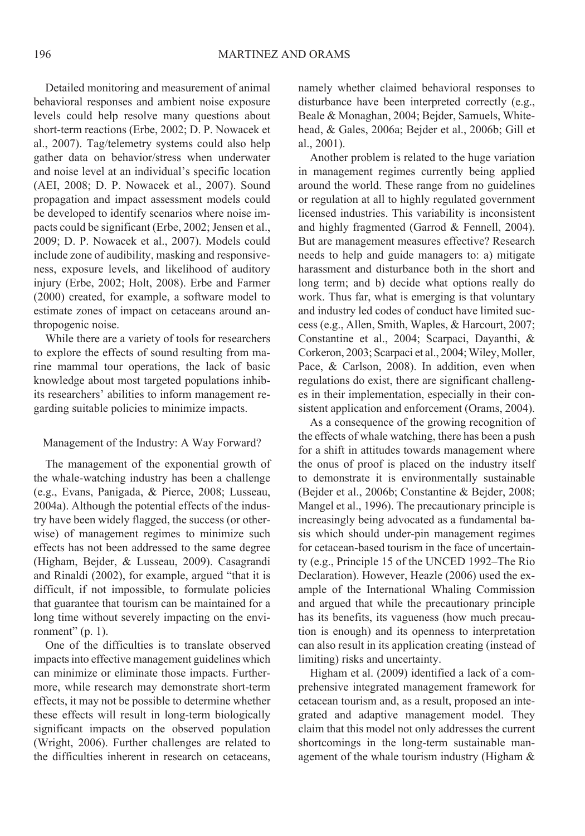Detailed monitoring and measurement of animal behavioral responses and ambient noise exposure levels could help resolve many questions about short-term reactions (Erbe, 2002; D. P. Nowacek et al., 2007). Tag/telemetry systems could also help gather data on behavior/stress when underwater and noise level at an individual's specific location (AEI, 2008; D. P. Nowacek et al., 2007). Sound propagation and impact assessment models could be developed to identify scenarios where noise impacts could be significant (Erbe, 2002; Jensen et al., 2009; D. P. Nowacek et al., 2007). Models could include zone of audibility, masking and responsiveness, exposure levels, and likelihood of auditory injury (Erbe, 2002; Holt, 2008). Erbe and Farmer (2000) created, for example, a software model to estimate zones of impact on cetaceans around anthropogenic noise.

While there are a variety of tools for researchers to explore the effects of sound resulting from marine mammal tour operations, the lack of basic knowledge about most targeted populations inhibits researchers' abilities to inform management regarding suitable policies to minimize impacts.

#### Management of the Industry: A Way Forward?

The management of the exponential growth of the whale-watching industry has been a challenge (e.g., Evans, Panigada, & Pierce, 2008; Lusseau, 2004a). Although the potential effects of the industry have been widely flagged, the success (or otherwise) of management regimes to minimize such effects has not been addressed to the same degree (Higham, Bejder, & Lusseau, 2009). Casagrandi and Rinaldi (2002), for example, argued "that it is difficult, if not impossible, to formulate policies that guarantee that tourism can be maintained for a long time without severely impacting on the environment"  $(p. 1)$ .

One of the difficulties is to translate observed impacts into effective management guidelines which can minimize or eliminate those impacts. Furthermore, while research may demonstrate short-term effects, it may not be possible to determine whether these effects will result in long-term biologically significant impacts on the observed population (Wright, 2006). Further challenges are related to the difficulties inherent in research on cetaceans. namely whether claimed behavioral responses to disturbance have been interpreted correctly (e.g., Beale & Monaghan, 2004; Bejder, Samuels, Whitehead, & Gales, 2006a; Bejder et al., 2006b; Gill et al., 2001).

Another problem is related to the huge variation in management regimes currently being applied around the world. These range from no guidelines or regulation at all to highly regulated government licensed industries. This variability is inconsistent and highly fragmented (Garrod & Fennell, 2004). But are management measures effective? Research needs to help and guide managers to: a) mitigate harassment and disturbance both in the short and long term; and b) decide what options really do work. Thus far, what is emerging is that voluntary and industry led codes of conduct have limited success (e.g., Allen, Smith, Waples, & Harcourt, 2007; Constantine et al., 2004; Scarpaci, Dayanthi, & Corkeron, 2003; Scarpaci et al., 2004; Wiley, Moller, Pace, & Carlson, 2008). In addition, even when regulations do exist, there are significant challenges in their implementation, especially in their consistent application and enforcement (Orams, 2004).

As a consequence of the growing recognition of the effects of whale watching, there has been a push for a shift in attitudes towards management where the onus of proof is placed on the industry itself to demonstrate it is environmentally sustainable (Bejder et al., 2006b; Constantine & Bejder, 2008; Mangel et al., 1996). The precautionary principle is increasingly being advocated as a fundamental basis which should under-pin management regimes for cetacean-based tourism in the face of uncertainty (e.g., Principle 15 of the UNCED 1992–The Rio Declaration). However, Heazle (2006) used the example of the International Whaling Commission and argued that while the precautionary principle has its benefits, its vagueness (how much precaution is enough) and its openness to interpretation can also result in its application creating (instead of limiting) risks and uncertainty.

Higham et al. (2009) identified a lack of a comprehensive integrated management framework for cetacean tourism and, as a result, proposed an integrated and adaptive management model. They claim that this model not only addresses the current shortcomings in the long-term sustainable management of the whale tourism industry (Higham  $\&$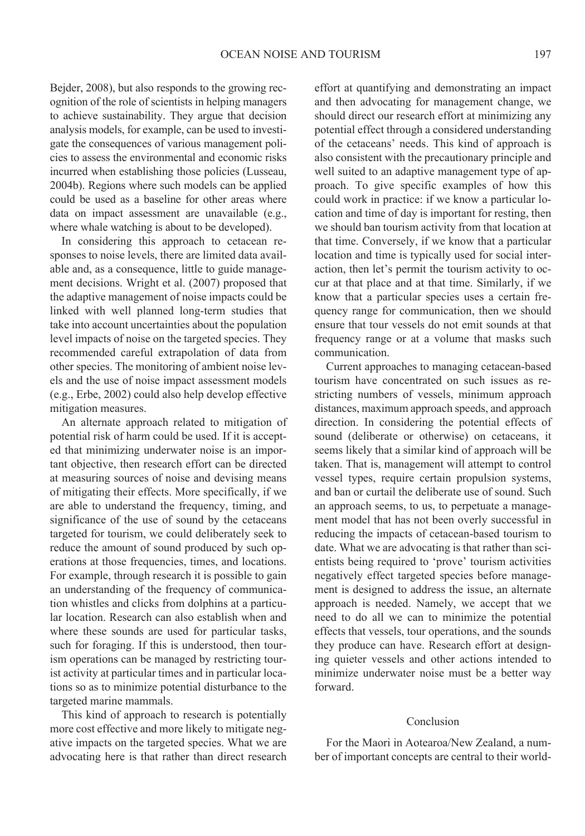Bejder, 2008), but also responds to the growing recognition of the role of scientists in helping managers to achieve sustainability. They argue that decision analysis models, for example, can be used to investigate the consequences of various management policies to assess the environmental and economic risks incurred when establishing those policies (Lusseau. 2004b). Regions where such models can be applied could be used as a baseline for other areas where data on impact assessment are unavailable (e.g., where whale watching is about to be developed).

In considering this approach to cetacean responses to noise levels, there are limited data available and, as a consequence, little to guide management decisions. Wright et al. (2007) proposed that the adaptive management of noise impacts could be linked with well planned long-term studies that take into account uncertainties about the population level impacts of noise on the targeted species. They recommended careful extrapolation of data from other species. The monitoring of ambient noise levels and the use of noise impact assessment models (e.g., Erbe, 2002) could also help develop effective mitigation measures.

An alternate approach related to mitigation of potential risk of harm could be used. If it is accepted that minimizing underwater noise is an important objective, then research effort can be directed at measuring sources of noise and devising means of mitigating their effects. More specifically, if we are able to understand the frequency, timing, and significance of the use of sound by the cetaceans targeted for tourism, we could deliberately seek to reduce the amount of sound produced by such operations at those frequencies, times, and locations. For example, through research it is possible to gain an understanding of the frequency of communication whistles and clicks from dolphins at a particular location. Research can also establish when and where these sounds are used for particular tasks, such for foraging. If this is understood, then tourism operations can be managed by restricting tourist activity at particular times and in particular locations so as to minimize potential disturbance to the targeted marine mammals.

This kind of approach to research is potentially more cost effective and more likely to mitigate negative impacts on the targeted species. What we are advocating here is that rather than direct research effort at quantifying and demonstrating an impact and then advocating for management change, we should direct our research effort at minimizing any potential effect through a considered understanding of the cetaceans' needs. This kind of approach is also consistent with the precautionary principle and well suited to an adaptive management type of approach. To give specific examples of how this could work in practice: if we know a particular location and time of day is important for resting, then we should ban tourism activity from that location at that time. Conversely, if we know that a particular location and time is typically used for social interaction, then let's permit the tourism activity to occur at that place and at that time. Similarly, if we know that a particular species uses a certain frequency range for communication, then we should ensure that tour vessels do not emit sounds at that frequency range or at a volume that masks such communication.

Current approaches to managing cetacean-based tourism have concentrated on such issues as restricting numbers of vessels, minimum approach distances, maximum approach speeds, and approach direction. In considering the potential effects of sound (deliberate or otherwise) on cetaceans, it seems likely that a similar kind of approach will be taken. That is, management will attempt to control vessel types, require certain propulsion systems. and ban or curtail the deliberate use of sound. Such an approach seems, to us, to perpetuate a management model that has not been overly successful in reducing the impacts of cetacean-based tourism to date. What we are advocating is that rather than scientists being required to 'prove' tourism activities negatively effect targeted species before management is designed to address the issue, an alternate approach is needed. Namely, we accept that we need to do all we can to minimize the potential effects that vessels, tour operations, and the sounds they produce can have. Research effort at designing quieter vessels and other actions intended to minimize underwater noise must be a better way forward.

#### Conclusion

For the Maori in Aotearoa/New Zealand, a number of important concepts are central to their world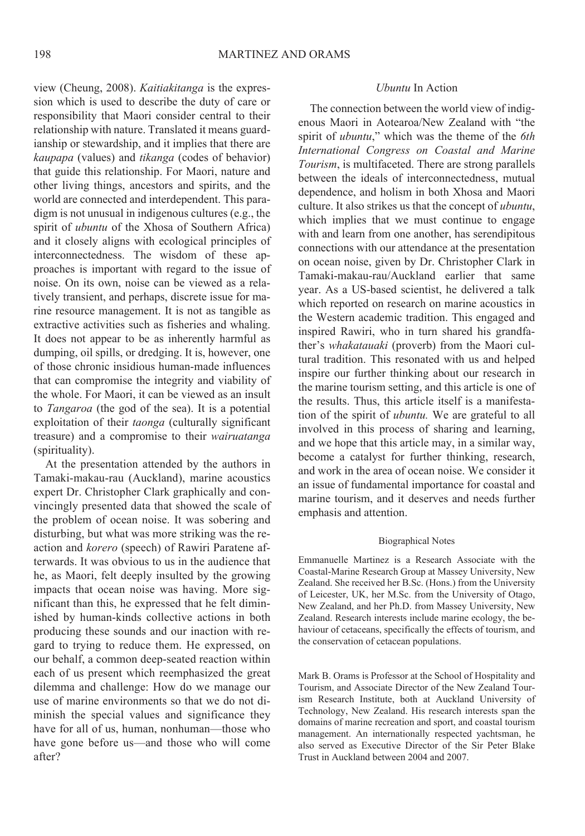view (Cheung, 2008). Kaitiakitanga is the expression which is used to describe the duty of care or responsibility that Maori consider central to their relationship with nature. Translated it means guardianship or stewardship, and it implies that there are kaupapa (values) and tikanga (codes of behavior) that guide this relationship. For Maori, nature and other living things, ancestors and spirits, and the world are connected and interdependent. This paradigm is not unusual in indigenous cultures (e.g., the spirit of *ubuntu* of the Xhosa of Southern Africa) and it closely aligns with ecological principles of interconnectedness. The wisdom of these approaches is important with regard to the issue of noise. On its own, noise can be viewed as a relatively transient, and perhaps, discrete issue for marine resource management. It is not as tangible as extractive activities such as fisheries and whaling. It does not appear to be as inherently harmful as dumping, oil spills, or dredging. It is, however, one of those chronic insidious human-made influences that can compromise the integrity and viability of the whole. For Maori, it can be viewed as an insult to *Tangaroa* (the god of the sea). It is a potential exploitation of their taonga (culturally significant treasure) and a compromise to their wairuatanga (spirituality).

At the presentation attended by the authors in Tamaki-makau-rau (Auckland), marine acoustics expert Dr. Christopher Clark graphically and convincingly presented data that showed the scale of the problem of ocean noise. It was sobering and disturbing, but what was more striking was the reaction and *korero* (speech) of Rawiri Paratene afterwards. It was obvious to us in the audience that he, as Maori, felt deeply insulted by the growing impacts that ocean noise was having. More significant than this, he expressed that he felt diminished by human-kinds collective actions in both producing these sounds and our inaction with regard to trying to reduce them. He expressed, on our behalf, a common deep-seated reaction within each of us present which reemphasized the great dilemma and challenge: How do we manage our use of marine environments so that we do not diminish the special values and significance they have for all of us, human, nonhuman—those who have gone before us—and those who will come after?

## Uhuntu In Action

The connection between the world view of indigenous Maori in Aotearoa/New Zealand with "the spirit of *ubuntu*," which was the theme of the *6th* International Congress on Coastal and Marine Tourism, is multifaceted. There are strong parallels between the ideals of interconnectedness, mutual dependence, and holism in both Xhosa and Maori culture. It also strikes us that the concept of *ubuntu*, which implies that we must continue to engage with and learn from one another, has serendipitous connections with our attendance at the presentation on ocean noise, given by Dr. Christopher Clark in Tamaki-makau-rau/Auckland earlier that same year. As a US-based scientist, he delivered a talk which reported on research on marine acoustics in the Western academic tradition. This engaged and inspired Rawiri, who in turn shared his grandfather's *whakatauaki* (proverb) from the Maori cultural tradition. This resonated with us and helped inspire our further thinking about our research in the marine tourism setting, and this article is one of the results. Thus, this article itself is a manifestation of the spirit of *ubuntu*. We are grateful to all involved in this process of sharing and learning. and we hope that this article may, in a similar way, become a catalyst for further thinking, research, and work in the area of ocean noise. We consider it an issue of fundamental importance for coastal and marine tourism, and it deserves and needs further emphasis and attention.

#### **Biographical Notes**

Emmanuelle Martinez is a Research Associate with the Coastal-Marine Research Group at Massey University, New Zealand. She received her B.Sc. (Hons.) from the University of Leicester, UK, her M.Sc. from the University of Otago, New Zealand, and her Ph.D. from Massey University, New Zealand. Research interests include marine ecology, the behaviour of cetaceans, specifically the effects of tourism, and the conservation of cetacean populations.

Mark B. Orams is Professor at the School of Hospitality and Tourism, and Associate Director of the New Zealand Tourism Research Institute, both at Auckland University of Technology, New Zealand. His research interests span the domains of marine recreation and sport, and coastal tourism management. An internationally respected yachtsman, he also served as Executive Director of the Sir Peter Blake Trust in Auckland between 2004 and 2007.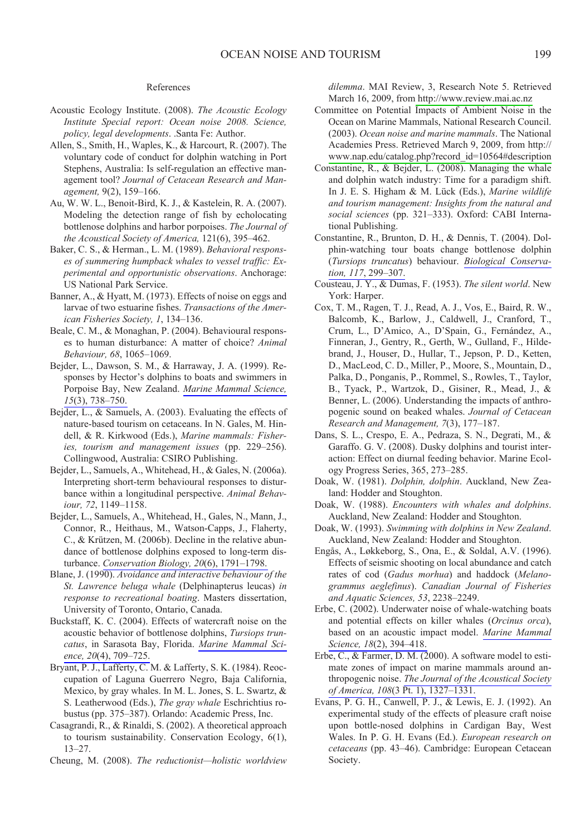#### References

- Acoustic Ecology Institute. (2008). The Acoustic Ecology Institute Special report: Ocean noise 2008. Science, policy, legal developments. .Santa Fe: Author.
- Allen, S., Smith, H., Waples, K., & Harcourt, R. (2007). The voluntary code of conduct for dolphin watching in Port Stephens, Australia: Is self-regulation an effective management tool? Journal of Cetacean Research and Management, 9(2), 159-166.
- Au, W. W. L., Benoit-Bird, K. J., & Kastelein, R. A. (2007). Modeling the detection range of fish by echolocating bottlenose dolphins and harbor porpoises. The Journal of the Acoustical Society of America, 121(6), 395-462.
- Baker, C. S., & Herman., L. M. (1989). Behavioral responses of summering humpback whales to vessel traffic: Experimental and opportunistic observations. Anchorage: US National Park Service.
- Banner, A., & Hyatt, M. (1973). Effects of noise on eggs and larvae of two estuarine fishes. Transactions of the American Fisheries Society, 1, 134-136.
- Beale, C. M., & Monaghan, P. (2004). Behavioural responses to human disturbance: A matter of choice? Animal Behaviour, 68, 1065-1069.
- Bejder, L., Dawson, S. M., & Harraway, J. A. (1999). Responses by Hector's dolphins to boats and swimmers in Porpoise Bay, New Zealand. Marine Mammal Science,  $15(3)$ , 738-750.
- Bejder, L., & Samuels, A. (2003). Evaluating the effects of nature-based tourism on cetaceans. In N. Gales, M. Hindell, & R. Kirkwood (Eds.), Marine mammals: Fisheries, tourism and management issues (pp. 229-256). Collingwood, Australia: CSIRO Publishing.
- Bejder, L., Samuels, A., Whitehead, H., & Gales, N. (2006a). Interpreting short-term behavioural responses to disturbance within a longitudinal perspective. Animal Behaviour, 72, 1149-1158.
- Bejder, L., Samuels, A., Whitehead, H., Gales, N., Mann, J., Connor, R., Heithaus, M., Watson-Capps, J., Flaherty, C., & Krützen, M. (2006b). Decline in the relative abundance of bottlenose dolphins exposed to long-term disturbance. Conservation Biology, 20(6), 1791-1798.
- Blane, J. (1990). Avoidance and interactive behaviour of the St. Lawrence beluga whale (Delphinapterus leucas) in response to recreational boating. Masters dissertation, University of Toronto, Ontario, Canada.
- Buckstaff, K. C. (2004). Effects of watercraft noise on the acoustic behavior of bottlenose dolphins, Tursiops truncatus, in Sarasota Bay, Florida. Marine Mammal Science,  $20(4)$ ,  $709-725$ .
- Bryant, P. J., Lafferty, C. M. & Lafferty, S. K. (1984). Reoccupation of Laguna Guerrero Negro, Baja California, Mexico, by gray whales. In M. L. Jones, S. L. Swartz, & S. Leatherwood (Eds.), The gray whale Eschrichtius robustus (pp. 375–387). Orlando: Academic Press, Inc.
- Casagrandi, R., & Rinaldi, S. (2002). A theoretical approach to tourism sustainability. Conservation Ecology, 6(1),  $13 - 27$ .
- Cheung, M. (2008). The reductionist-holistic worldview

dilemma. MAI Review, 3, Research Note 5. Retrieved March 16, 2009, from http://www.review.mai.ac.nz

- Committee on Potential Impacts of Ambient Noise in the Ocean on Marine Mammals, National Research Council. (2003). Ocean noise and marine mammals. The National Academies Press. Retrieved March 9, 2009, from http:// www.nap.edu/catalog.php?record\_id=10564#description
- Constantine, R., & Bejder, L. (2008). Managing the whale and dolphin watch industry: Time for a paradigm shift. In J. E. S. Higham & M. Lück (Eds.), Marine wildlife and tourism management: Insights from the natural and social sciences (pp. 321-333). Oxford: CABI International Publishing.
- Constantine, R., Brunton, D. H., & Dennis, T. (2004). Dolphin-watching tour boats change bottlenose dolphin (Tursiops truncatus) behaviour. Biological Conservation. 117, 299-307.
- Cousteau, J. Y., & Dumas, F. (1953). The silent world. New York: Harper.
- Cox, T. M., Ragen, T. J., Read, A. J., Vos, E., Baird, R. W., Balcomb, K., Barlow, J., Caldwell, J., Cranford, T., Crum, L., D'Amico, A., D'Spain, G., Fernández, A., Finneran, J., Gentry, R., Gerth, W., Gulland, F., Hildebrand, J., Houser, D., Hullar, T., Jepson, P. D., Ketten, D., MacLeod, C. D., Miller, P., Moore, S., Mountain, D., Palka, D., Ponganis, P., Rommel, S., Rowles, T., Taylor, B., Tyack, P., Wartzok, D., Gisiner, R., Mead, J., & Benner, L. (2006). Understanding the impacts of anthropogenic sound on beaked whales. Journal of Cetacean Research and Management, 7(3), 177-187.
- Dans, S. L., Crespo, E. A., Pedraza, S. N., Degrati, M., & Garaffo. G. V. (2008). Dusky dolphins and tourist interaction: Effect on diurnal feeding behavior. Marine Ecology Progress Series, 365, 273-285.
- Doak, W. (1981). Dolphin, dolphin. Auckland, New Zealand: Hodder and Stoughton.
- Doak, W. (1988). Encounters with whales and dolphins. Auckland, New Zealand: Hodder and Stoughton.
- Doak, W. (1993). Swimming with dolphins in New Zealand. Auckland, New Zealand: Hodder and Stoughton.
- Engås, A., Løkkeborg, S., Ona, E., & Soldal, A.V. (1996). Effects of seismic shooting on local abundance and catch rates of cod (Gadus morhua) and haddock (Melanogrammus aeglefinus). Canadian Journal of Fisheries and Aquatic Sciences, 53, 2238-2249.
- Erbe, C. (2002). Underwater noise of whale-watching boats and potential effects on killer whales (Orcinus orca), based on an acoustic impact model. Marine Mammal Science, 18(2), 394-418.
- Erbe, C., & Farmer, D. M.  $(2000)$ . A software model to estimate zones of impact on marine mammals around anthropogenic noise. The Journal of the Acoustical Society of America, 108(3 Pt. 1), 1327-1331.
- Evans, P. G. H., Canwell, P. J., & Lewis, E. J. (1992). An experimental study of the effects of pleasure craft noise upon bottle-nosed dolphins in Cardigan Bay, West Wales. In P. G. H. Evans (Ed.). European research on cetaceans (pp. 43–46). Cambridge: European Cetacean Society.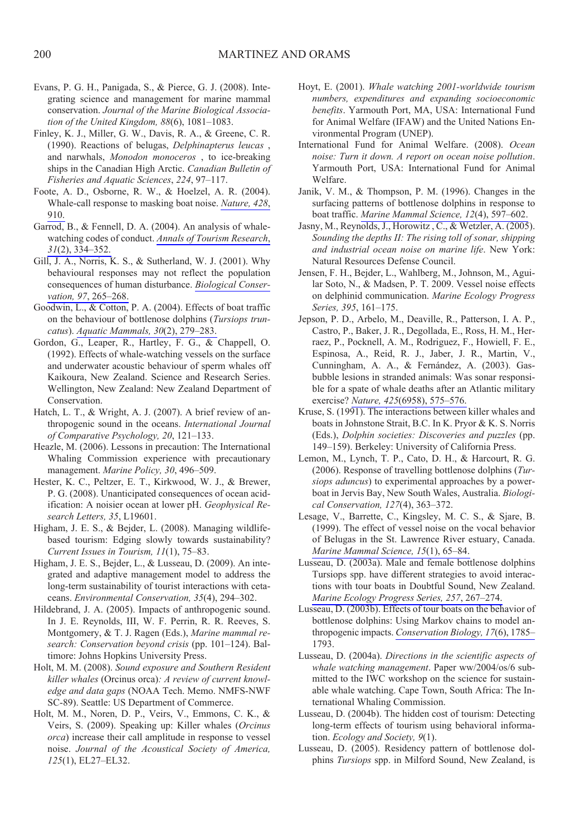- Evans, P. G. H., Panigada, S., & Pierce, G. J. (2008). Integrating science and management for marine mammal conservation. Journal of the Marine Biological Association of the United Kingdom,  $88(6)$ ,  $1081-1083$ .
- Finley, K. J., Miller, G. W., Davis, R. A., & Greene, C. R. (1990). Reactions of belugas, Delphinapterus leucas, and narwhals, Monodon monoceros, to ice-breaking ships in the Canadian High Arctic. Canadian Bulletin of Fisheries and Aquatic Sciences, 224, 97-117.
- Foote, A. D., Osborne, R. W., & Hoelzel, A. R. (2004). Whale-call response to masking boat noise. Nature, 428, 910.
- Garrod, B., & Fennell, D. A. (2004). An analysis of whalewatching codes of conduct. Annals of Tourism Research,  $31(2)$ ,  $334-352$ .
- Gill, J. A., Norris, K. S., & Sutherland, W. J. (2001). Why behavioural responses may not reflect the population consequences of human disturbance. Biological Conservation, 97, 265-268.
- Goodwin, L., & Cotton, P. A. (2004). Effects of boat traffic on the behaviour of bottlenose dolphins (Tursiops truncatus). Aquatic Mammals, 30(2), 279-283.
- Gordon, G., Leaper, R., Hartley, F. G., & Chappell, O. (1992). Effects of whale-watching vessels on the surface and underwater acoustic behaviour of sperm whales off Kaikoura, New Zealand. Science and Research Series. Wellington, New Zealand: New Zealand Department of Conservation.
- Hatch, L. T., & Wright, A. J. (2007). A brief review of anthropogenic sound in the oceans. International Journal of Comparative Psychology, 20, 121-133.
- Heazle, M. (2006). Lessons in precaution: The International Whaling Commission experience with precautionary management. Marine Policy, 30, 496-509.
- Hester, K. C., Peltzer, E. T., Kirkwood, W. J., & Brewer, P. G. (2008). Unanticipated consequences of ocean acidification: A noisier ocean at lower pH. Geophysical Research Letters, 35, L19601.
- Higham, J. E. S., & Bejder, L. (2008). Managing wildlifebased tourism: Edging slowly towards sustainability? Current Issues in Tourism, 11(1), 75–83.
- Higham, J. E. S., Bejder, L., & Lusseau, D. (2009). An integrated and adaptive management model to address the long-term sustainability of tourist interactions with cetaceans. Environmental Conservation, 35(4), 294-302.
- Hildebrand, J. A. (2005). Impacts of anthropogenic sound. In J. E. Reynolds, III, W. F. Perrin, R. R. Reeves, S. Montgomery, & T. J. Ragen (Eds.), Marine mammal research: Conservation beyond crisis (pp. 101–124). Baltimore: Johns Hopkins University Press.
- Holt, M. M. (2008). Sound exposure and Southern Resident killer whales (Orcinus orca): A review of current knowledge and data gaps (NOAA Tech. Memo. NMFS-NWF SC-89). Seattle: US Department of Commerce.
- Holt, M. M., Noren, D. P., Veirs, V., Emmons, C. K., & Veirs, S. (2009). Speaking up: Killer whales (Orcinus orca) increase their call amplitude in response to vessel noise. Journal of the Acoustical Society of America, 125(1), EL27-EL32.
- Hoyt, E. (2001). Whale watching 2001-worldwide tourism numbers, expenditures and expanding socioeconomic benefits. Yarmouth Port, MA, USA: International Fund for Animal Welfare (IFAW) and the United Nations Environmental Program (UNEP).
- International Fund for Animal Welfare. (2008). Ocean noise: Turn it down. A report on ocean noise pollution. Yarmouth Port, USA: International Fund for Animal Welfare.
- Janik, V. M., & Thompson, P. M. (1996). Changes in the surfacing patterns of bottlenose dolphins in response to boat traffic. Marine Mammal Science, 12(4), 597-602.
- Jasny, M., Reynolds, J., Horowitz, C., & Wetzler, A. (2005). Sounding the depths II: The rising toll of sonar, shipping and industrial ocean noise on marine life. New York: Natural Resources Defense Council.
- Jensen, F. H., Bejder, L., Wahlberg, M., Johnson, M., Aguilar Soto, N., & Madsen, P. T. 2009. Vessel noise effects on delphinid communication. Marine Ecology Progress Series, 395, 161-175.
- Jepson, P. D., Arbelo, M., Deaville, R., Patterson, I. A. P., Castro, P., Baker, J. R., Degollada, E., Ross, H. M., Herraez, P., Pocknell, A. M., Rodriguez, F., Howiell, F. E., Espinosa, A., Reid, R. J., Jaber, J. R., Martin, V., Cunningham, A. A., & Fernández, A. (2003). Gasbubble lesions in stranded animals: Was sonar responsible for a spate of whale deaths after an Atlantic military exercise? Nature, 425(6958), 575-576.
- Kruse, S. (1991). The interactions between killer whales and boats in Johnstone Strait, B.C. In K. Pryor & K. S. Norris (Eds.), Dolphin societies: Discoveries and puzzles (pp. 149-159). Berkeley: University of California Press.
- Lemon, M., Lynch, T. P., Cato, D. H., & Harcourt, R. G.  $(2006)$ . Response of travelling bottlenose dolphins  $(Tur - )$ siops aduncus) to experimental approaches by a powerboat in Jervis Bay, New South Wales, Australia. Biological Conservation, 127(4), 363-372.
- Lesage, V., Barrette, C., Kingsley, M. C. S., & Sjare, B. (1999). The effect of vessel noise on the vocal behavior of Belugas in the St. Lawrence River estuary, Canada. Marine Mammal Science, 15(1), 65-84.
- Lusseau, D. (2003a). Male and female bottlenose dolphins Tursiops spp. have different strategies to avoid interactions with tour boats in Doubtful Sound, New Zealand. Marine Ecology Progress Series, 257, 267-274.
- Lusseau, D. (2003b). Effects of tour boats on the behavior of bottlenose dolphins: Using Markov chains to model anthropogenic impacts. Conservation Biology, 17(6), 1785-1793.
- Lusseau, D. (2004a). Directions in the scientific aspects of whale watching management. Paper ww/2004/os/6 submitted to the IWC workshop on the science for sustainable whale watching. Cape Town, South Africa: The International Whaling Commission.
- Lusseau, D. (2004b). The hidden cost of tourism: Detecting long-term effects of tourism using behavioral information. Ecology and Society, 9(1).
- Lusseau, D. (2005). Residency pattern of bottlenose dolphins Tursiops spp. in Milford Sound, New Zealand, is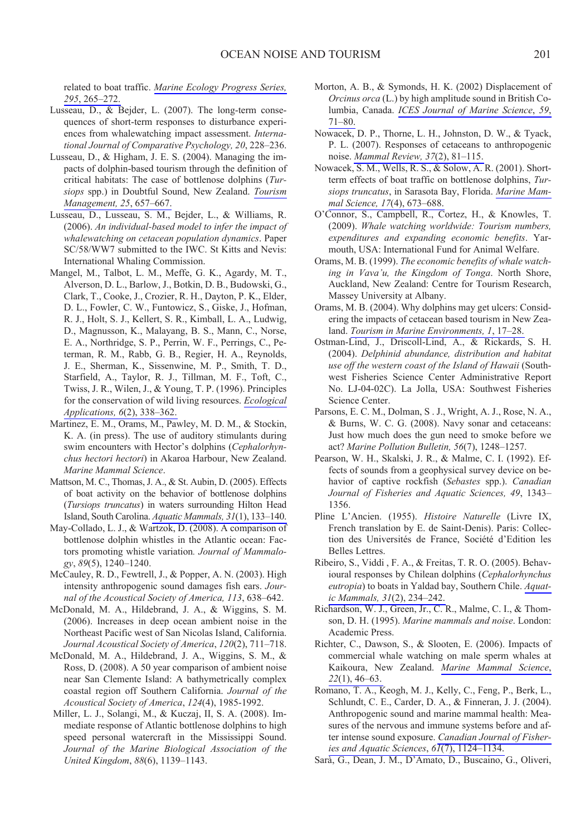related to boat traffic. Marine Ecology Progress Series, 295, 265-272.

- Lusseau, D., & Bejder, L. (2007). The long-term consequences of short-term responses to disturbance experiences from whalewatching impact assessment. International Journal of Comparative Psychology, 20, 228-236.
- Lusseau, D., & Higham, J. E. S. (2004). Managing the impacts of dolphin-based tourism through the definition of critical habitats: The case of bottlenose dolphins (Tursiops spp.) in Doubtful Sound, New Zealand. Tourism Management, 25, 657-667.
- Lusseau, D., Lusseau, S. M., Bejder, L., & Williams, R. (2006). An individual-based model to infer the impact of whalewatching on cetacean population dynamics. Paper SC/58/WW7 submitted to the IWC. St Kitts and Nevis: International Whaling Commission.
- Mangel, M., Talbot, L. M., Meffe, G. K., Agardy, M. T., Alverson, D. L., Barlow, J., Botkin, D. B., Budowski, G., Clark, T., Cooke, J., Crozier, R. H., Dayton, P. K., Elder, D. L., Fowler, C. W., Funtowicz, S., Giske, J., Hofman, R. J., Holt, S. J., Kellert, S. R., Kimball, L. A., Ludwig, D., Magnusson, K., Malayang, B. S., Mann, C., Norse, E. A., Northridge, S. P., Perrin, W. F., Perrings, C., Peterman, R. M., Rabb, G. B., Regier, H. A., Reynolds, J. E., Sherman, K., Sissenwine, M. P., Smith, T. D., Starfield, A., Taylor, R. J., Tillman, M. F., Toft, C., Twiss, J. R., Wilen, J., & Young, T. P. (1996). Principles for the conservation of wild living resources. *Ecological* Applications, 6(2), 338-362.
- Martinez, E. M., Orams, M., Pawley, M. D. M., & Stockin, K. A. (in press). The use of auditory stimulants during swim encounters with Hector's dolphins (Cephalorhynchus hectori hectori) in Akaroa Harbour, New Zealand. Marine Mammal Science.
- Mattson, M. C., Thomas, J. A., & St. Aubin, D. (2005). Effects of boat activity on the behavior of bottlenose dolphins (Tursiops truncatus) in waters surrounding Hilton Head Island, South Carolina. Aquatic Mammals, 31(1), 133-140.
- May-Collado, L. J., & Wartzok, D. (2008). A comparison of bottlenose dolphin whistles in the Atlantic ocean: Factors promoting whistle variation. Journal of Mammalogy, 89(5), 1240-1240.
- McCauley, R. D., Fewtrell, J., & Popper, A. N. (2003). High intensity anthropogenic sound damages fish ears. Journal of the Acoustical Society of America, 113, 638-642.
- McDonald, M. A., Hildebrand, J. A., & Wiggins, S. M. (2006). Increases in deep ocean ambient noise in the Northeast Pacific west of San Nicolas Island, California. Journal Acoustical Society of America, 120(2), 711-718.
- McDonald, M. A., Hildebrand, J. A., Wiggins, S. M., & Ross, D. (2008). A 50 year comparison of ambient noise near San Clemente Island: A bathymetrically complex coastal region off Southern California. Journal of the Acoustical Society of America, 124(4), 1985-1992.
- Miller, L. J., Solangi, M., & Kuczaj, II, S. A. (2008). Immediate response of Atlantic bottlenose dolphins to high speed personal watercraft in the Mississippi Sound. Journal of the Marine Biological Association of the United Kingdom, 88(6), 1139-1143.
- Morton, A. B., & Symonds, H. K. (2002) Displacement of *Orcinus orca* (L.) by high amplitude sound in British Columbia, Canada. ICES Journal of Marine Science, 59,  $71 - 80.$
- Nowacek, D. P., Thorne, L. H., Johnston, D. W., & Tyack, P. L. (2007). Responses of cetaceans to anthropogenic noise. Mammal Review, 37(2), 81-115.
- Nowacek, S. M., Wells, R. S., & Solow, A. R. (2001). Shortterm effects of boat traffic on bottlenose dolphins, Tursiops truncatus, in Sarasota Bay, Florida. Marine Mammal Science, 17(4), 673-688.
- O'Connor, S., Campbell, R., Cortez, H., & Knowles, T. (2009). Whale watching worldwide: Tourism numbers, expenditures and expanding economic benefits. Yarmouth, USA: International Fund for Animal Welfare.
- Orams, M. B. (1999). The economic benefits of whale watching in Vava'u, the Kingdom of Tonga. North Shore, Auckland, New Zealand: Centre for Tourism Research, Massey University at Albany.
- Orams, M. B. (2004). Why dolphins may get ulcers: Considering the impacts of cetacean based tourism in New Zealand. Tourism in Marine Environments, 1, 17-28.
- Ostman-Lind, J., Driscoll-Lind, A., & Rickards, S. H. (2004). Delphinid abundance, distribution and habitat use off the western coast of the Island of Hawaii (Southwest Fisheries Science Center Administrative Report No. LJ-04-02C). La Jolla, USA: Southwest Fisheries Science Center.
- Parsons, E. C. M., Dolman, S. J., Wright, A. J., Rose, N. A., & Burns, W. C. G. (2008). Navy sonar and cetaceans: Just how much does the gun need to smoke before we act? Marine Pollution Bulletin, 56(7), 1248-1257.
- Pearson, W. H., Skalski, J. R., & Malme, C. I. (1992). Effects of sounds from a geophysical survey device on behavior of captive rockfish (Sebastes spp.). Canadian Journal of Fisheries and Aquatic Sciences, 49, 1343-1356.
- Pline L'Ancien. (1955). Histoire Naturelle (Livre IX, French translation by E. de Saint-Denis). Paris: Collection des Universités de France, Société d'Edition les Belles Lettres.
- Ribeiro, S., Viddi, F. A., & Freitas, T. R. O. (2005). Behavioural responses by Chilean dolphins (Cephalorhynchus eutropia) to boats in Yaldad bay, Southern Chile. Aquatic Mammals, 31(2), 234-242.
- Richardson, W. J., Green, Jr., C. R., Malme, C. I., & Thomson, D. H. (1995). Marine mammals and noise. London: Academic Press.
- Richter, C., Dawson, S., & Slooten, E. (2006). Impacts of commercial whale watching on male sperm whales at Kaikoura, New Zealand. Marine Mammal Science,  $22(1)$ , 46-63.
- Romano, T. A., Keogh, M. J., Kelly, C., Feng, P., Berk, L., Schlundt, C. E., Carder, D. A., & Finneran, J. J. (2004). Anthropogenic sound and marine mammal health: Measures of the nervous and immune systems before and after intense sound exposure. Canadian Journal of Fisheries and Aquatic Sciences,  $6\overline{I(7)}$ , 1124–1134.
- Sarà, G., Dean, J. M., D'Amato, D., Buscaino, G., Oliveri,